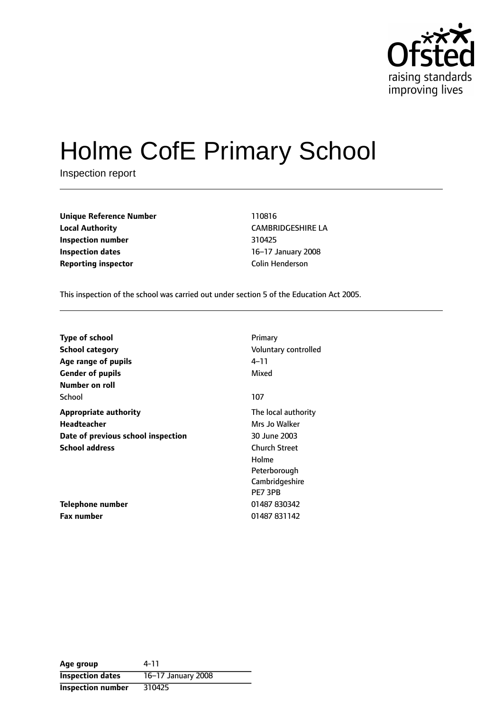

# Holme CofE Primary School

Inspection report

| <b>Unique Reference Number</b> | 110816               |
|--------------------------------|----------------------|
| <b>Local Authority</b>         | <b>CAMBRIDGESHIP</b> |
| Inspection number              | 310425               |
| <b>Inspection dates</b>        | 16-17 January 20     |
| <b>Reporting inspector</b>     | Colin Henderson      |

**Local Authority** CAMBRIDGESHIRE LA **Inspection number** 310425 **16-17 January 2008** 

This inspection of the school was carried out under section 5 of the Education Act 2005.

| <b>Type of school</b>              | Primary              |
|------------------------------------|----------------------|
| School category                    | Voluntary controlled |
| Age range of pupils                | 4–11                 |
| <b>Gender of pupils</b>            | Mixed                |
| Number on roll                     |                      |
| School                             | 107                  |
| <b>Appropriate authority</b>       | The local authority  |
| <b>Headteacher</b>                 | Mrs Jo Walker        |
| Date of previous school inspection | 30 June 2003         |
| <b>School address</b>              | <b>Church Street</b> |
|                                    | Holme                |
|                                    | Peterborough         |
|                                    | Cambridgeshire       |
|                                    | PE7 3PB              |
| Telephone number                   | 01487 830342         |
| <b>Fax number</b>                  | 01487 831142         |

**Age group** 4-11 **Inspection dates** 16-17 January 2008 **Inspection number** 310425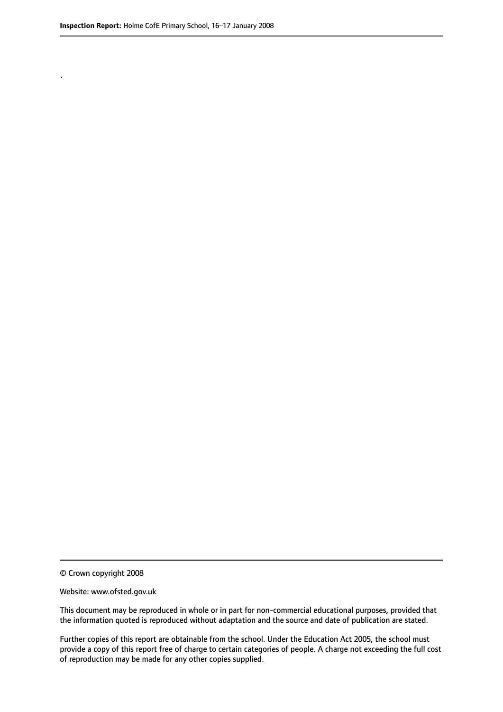.

© Crown copyright 2008

#### Website: www.ofsted.gov.uk

This document may be reproduced in whole or in part for non-commercial educational purposes, provided that the information quoted is reproduced without adaptation and the source and date of publication are stated.

Further copies of this report are obtainable from the school. Under the Education Act 2005, the school must provide a copy of this report free of charge to certain categories of people. A charge not exceeding the full cost of reproduction may be made for any other copies supplied.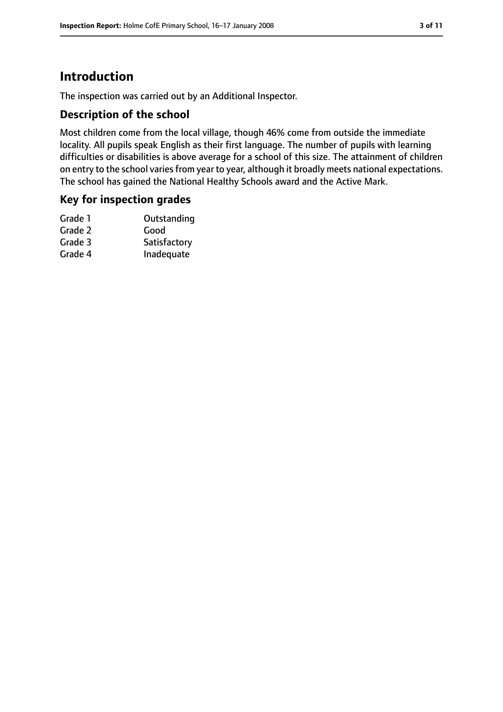# **Introduction**

The inspection was carried out by an Additional Inspector.

#### **Description of the school**

Most children come from the local village, though 46% come from outside the immediate locality. All pupils speak English as their first language. The number of pupils with learning difficulties or disabilities is above average for a school of this size. The attainment of children on entry to the school varies from year to year, although it broadly meets national expectations. The school has gained the National Healthy Schools award and the Active Mark.

### **Key for inspection grades**

| Grade 1 | Outstanding  |
|---------|--------------|
| Grade 2 | Good         |
| Grade 3 | Satisfactory |
| Grade 4 | Inadequate   |
|         |              |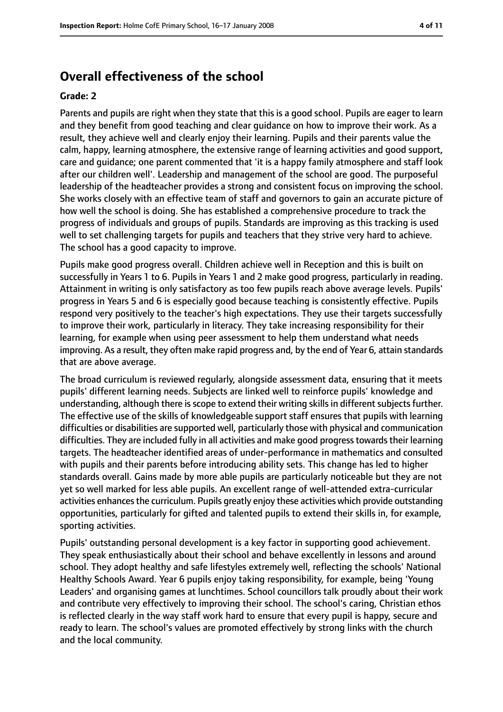# **Overall effectiveness of the school**

#### **Grade: 2**

Parents and pupils are right when they state that this is a good school. Pupils are eager to learn and they benefit from good teaching and clear guidance on how to improve their work. As a result, they achieve well and clearly enjoy their learning. Pupils and their parents value the calm, happy, learning atmosphere, the extensive range of learning activities and good support, care and guidance; one parent commented that 'it is a happy family atmosphere and staff look after our children well'. Leadership and management of the school are good. The purposeful leadership of the headteacher provides a strong and consistent focus on improving the school. She works closely with an effective team of staff and governors to gain an accurate picture of how well the school is doing. She has established a comprehensive procedure to track the progress of individuals and groups of pupils. Standards are improving as this tracking is used well to set challenging targets for pupils and teachers that they strive very hard to achieve. The school has a good capacity to improve.

Pupils make good progress overall. Children achieve well in Reception and this is built on successfully in Years 1 to 6. Pupils in Years 1 and 2 make good progress, particularly in reading. Attainment in writing is only satisfactory as too few pupils reach above average levels. Pupils' progress in Years 5 and 6 is especially good because teaching is consistently effective. Pupils respond very positively to the teacher's high expectations. They use their targets successfully to improve their work, particularly in literacy. They take increasing responsibility for their learning, for example when using peer assessment to help them understand what needs improving. As a result, they often make rapid progress and, by the end of Year 6, attain standards that are above average.

The broad curriculum is reviewed regularly, alongside assessment data, ensuring that it meets pupils' different learning needs. Subjects are linked well to reinforce pupils' knowledge and understanding, although there is scope to extend their writing skills in different subjects further. The effective use of the skills of knowledgeable support staff ensures that pupils with learning difficulties or disabilities are supported well, particularly those with physical and communication difficulties. They are included fully in all activities and make good progress towards their learning targets. The headteacher identified areas of under-performance in mathematics and consulted with pupils and their parents before introducing ability sets. This change has led to higher standards overall. Gains made by more able pupils are particularly noticeable but they are not yet so well marked for less able pupils. An excellent range of well-attended extra-curricular activities enhances the curriculum. Pupils greatly enjoy these activities which provide outstanding opportunities, particularly for gifted and talented pupils to extend their skills in, for example, sporting activities.

Pupils' outstanding personal development is a key factor in supporting good achievement. They speak enthusiastically about their school and behave excellently in lessons and around school. They adopt healthy and safe lifestyles extremely well, reflecting the schools' National Healthy Schools Award. Year 6 pupils enjoy taking responsibility, for example, being 'Young Leaders' and organising games at lunchtimes. School councillors talk proudly about their work and contribute very effectively to improving their school. The school's caring, Christian ethos is reflected clearly in the way staff work hard to ensure that every pupil is happy, secure and ready to learn. The school's values are promoted effectively by strong links with the church and the local community.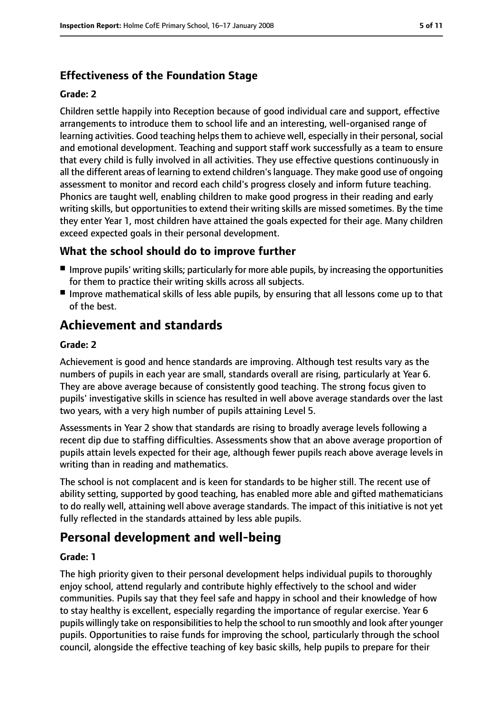## **Effectiveness of the Foundation Stage**

#### **Grade: 2**

Children settle happily into Reception because of good individual care and support, effective arrangements to introduce them to school life and an interesting, well-organised range of learning activities. Good teaching helps them to achieve well, especially in their personal, social and emotional development. Teaching and support staff work successfully as a team to ensure that every child is fully involved in all activities. They use effective questions continuously in all the different areas of learning to extend children'slanguage. They make good use of ongoing assessment to monitor and record each child's progress closely and inform future teaching. Phonics are taught well, enabling children to make good progress in their reading and early writing skills, but opportunities to extend their writing skills are missed sometimes. By the time they enter Year 1, most children have attained the goals expected for their age. Many children exceed expected goals in their personal development.

## **What the school should do to improve further**

- Improve pupils' writing skills; particularly for more able pupils, by increasing the opportunities for them to practice their writing skills across all subjects.
- Improve mathematical skills of less able pupils, by ensuring that all lessons come up to that of the best.

# **Achievement and standards**

#### **Grade: 2**

Achievement is good and hence standards are improving. Although test results vary as the numbers of pupils in each year are small, standards overall are rising, particularly at Year 6. They are above average because of consistently good teaching. The strong focus given to pupils' investigative skills in science has resulted in well above average standards over the last two years, with a very high number of pupils attaining Level 5.

Assessments in Year 2 show that standards are rising to broadly average levels following a recent dip due to staffing difficulties. Assessments show that an above average proportion of pupils attain levels expected for their age, although fewer pupils reach above average levels in writing than in reading and mathematics.

The school is not complacent and is keen for standards to be higher still. The recent use of ability setting, supported by good teaching, has enabled more able and gifted mathematicians to do really well, attaining well above average standards. The impact of this initiative is not yet fully reflected in the standards attained by less able pupils.

# **Personal development and well-being**

#### **Grade: 1**

The high priority given to their personal development helps individual pupils to thoroughly enjoy school, attend regularly and contribute highly effectively to the school and wider communities. Pupils say that they feel safe and happy in school and their knowledge of how to stay healthy is excellent, especially regarding the importance of regular exercise. Year 6 pupils willingly take on responsibilities to help the school to run smoothly and look after younger pupils. Opportunities to raise funds for improving the school, particularly through the school council, alongside the effective teaching of key basic skills, help pupils to prepare for their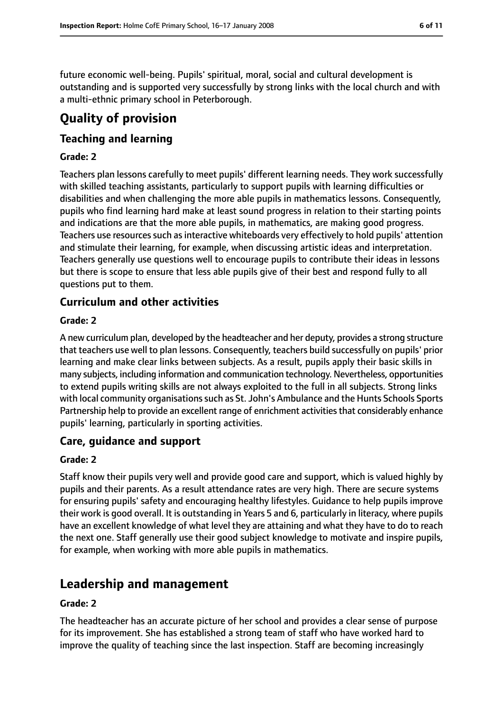future economic well-being. Pupils' spiritual, moral, social and cultural development is outstanding and is supported very successfully by strong links with the local church and with a multi-ethnic primary school in Peterborough.

# **Quality of provision**

## **Teaching and learning**

#### **Grade: 2**

Teachers plan lessons carefully to meet pupils' different learning needs. They work successfully with skilled teaching assistants, particularly to support pupils with learning difficulties or disabilities and when challenging the more able pupils in mathematics lessons. Consequently, pupils who find learning hard make at least sound progress in relation to their starting points and indications are that the more able pupils, in mathematics, are making good progress. Teachers use resources such as interactive whiteboards very effectively to hold pupils' attention and stimulate their learning, for example, when discussing artistic ideas and interpretation. Teachers generally use questions well to encourage pupils to contribute their ideas in lessons but there is scope to ensure that less able pupils give of their best and respond fully to all questions put to them.

## **Curriculum and other activities**

#### **Grade: 2**

A new curriculum plan, developed by the headteacher and her deputy, provides a strong structure that teachers use well to plan lessons. Consequently, teachers build successfully on pupils' prior learning and make clear links between subjects. As a result, pupils apply their basic skills in many subjects, including information and communication technology. Nevertheless, opportunities to extend pupils writing skills are not always exploited to the full in all subjects. Strong links with local community organisations such as St. John's Ambulance and the Hunts Schools Sports Partnership help to provide an excellent range of enrichment activities that considerably enhance pupils' learning, particularly in sporting activities.

### **Care, guidance and support**

#### **Grade: 2**

Staff know their pupils very well and provide good care and support, which is valued highly by pupils and their parents. As a result attendance rates are very high. There are secure systems for ensuring pupils' safety and encouraging healthy lifestyles. Guidance to help pupils improve their work is good overall. It is outstanding in Years 5 and 6, particularly in literacy, where pupils have an excellent knowledge of what level they are attaining and what they have to do to reach the next one. Staff generally use their good subject knowledge to motivate and inspire pupils, for example, when working with more able pupils in mathematics.

# **Leadership and management**

#### **Grade: 2**

The headteacher has an accurate picture of her school and provides a clear sense of purpose for its improvement. She has established a strong team of staff who have worked hard to improve the quality of teaching since the last inspection. Staff are becoming increasingly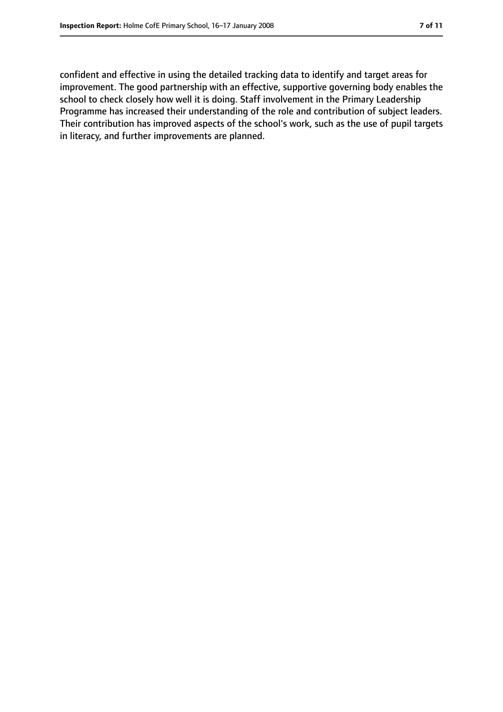confident and effective in using the detailed tracking data to identify and target areas for improvement. The good partnership with an effective, supportive governing body enables the school to check closely how well it is doing. Staff involvement in the Primary Leadership Programme has increased their understanding of the role and contribution of subject leaders. Their contribution has improved aspects of the school's work, such as the use of pupil targets in literacy, and further improvements are planned.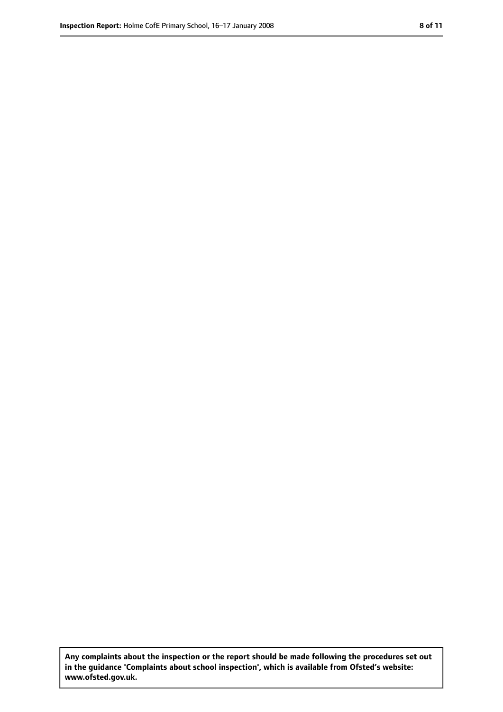**Any complaints about the inspection or the report should be made following the procedures set out in the guidance 'Complaints about school inspection', which is available from Ofsted's website: www.ofsted.gov.uk.**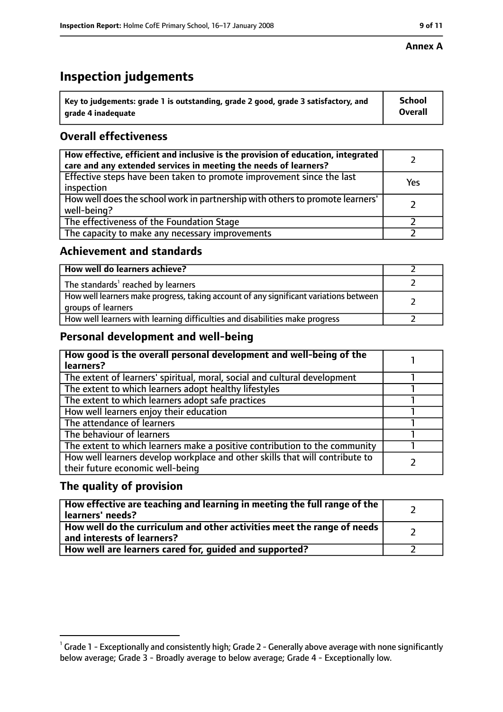# **Inspection judgements**

| $^{\backprime}$ Key to judgements: grade 1 is outstanding, grade 2 good, grade 3 satisfactory, and | <b>School</b>  |
|----------------------------------------------------------------------------------------------------|----------------|
| arade 4 inadequate                                                                                 | <b>Overall</b> |

## **Overall effectiveness**

| How effective, efficient and inclusive is the provision of education, integrated<br>care and any extended services in meeting the needs of learners? |     |
|------------------------------------------------------------------------------------------------------------------------------------------------------|-----|
| Effective steps have been taken to promote improvement since the last<br>inspection                                                                  | Yes |
| How well does the school work in partnership with others to promote learners'<br>well-being?                                                         |     |
| The effectiveness of the Foundation Stage                                                                                                            |     |
| The capacity to make any necessary improvements                                                                                                      |     |

## **Achievement and standards**

| How well do learners achieve?                                                                               |  |
|-------------------------------------------------------------------------------------------------------------|--|
| The standards <sup>1</sup> reached by learners                                                              |  |
| How well learners make progress, taking account of any significant variations between<br>groups of learners |  |
| How well learners with learning difficulties and disabilities make progress                                 |  |

## **Personal development and well-being**

| How good is the overall personal development and well-being of the<br>learners?                                  |  |
|------------------------------------------------------------------------------------------------------------------|--|
| The extent of learners' spiritual, moral, social and cultural development                                        |  |
| The extent to which learners adopt healthy lifestyles                                                            |  |
| The extent to which learners adopt safe practices                                                                |  |
| How well learners enjoy their education                                                                          |  |
| The attendance of learners                                                                                       |  |
| The behaviour of learners                                                                                        |  |
| The extent to which learners make a positive contribution to the community                                       |  |
| How well learners develop workplace and other skills that will contribute to<br>their future economic well-being |  |

## **The quality of provision**

| How effective are teaching and learning in meeting the full range of the<br>learners' needs?          |  |
|-------------------------------------------------------------------------------------------------------|--|
| How well do the curriculum and other activities meet the range of needs<br>and interests of learners? |  |
| How well are learners cared for, guided and supported?                                                |  |

 $^1$  Grade 1 - Exceptionally and consistently high; Grade 2 - Generally above average with none significantly below average; Grade 3 - Broadly average to below average; Grade 4 - Exceptionally low.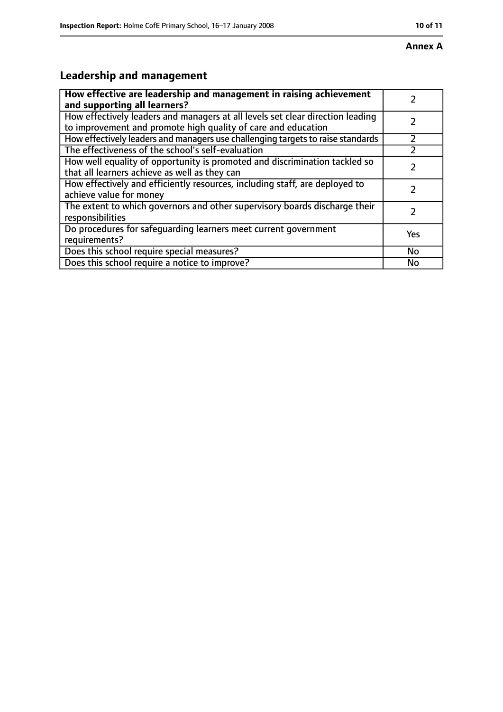# **Leadership and management**

| How effective are leadership and management in raising achievement<br>and supporting all learners?                                              |           |
|-------------------------------------------------------------------------------------------------------------------------------------------------|-----------|
| How effectively leaders and managers at all levels set clear direction leading<br>to improvement and promote high quality of care and education |           |
| How effectively leaders and managers use challenging targets to raise standards                                                                 |           |
| The effectiveness of the school's self-evaluation                                                                                               |           |
| How well equality of opportunity is promoted and discrimination tackled so<br>that all learners achieve as well as they can                     |           |
| How effectively and efficiently resources, including staff, are deployed to<br>achieve value for money                                          |           |
| The extent to which governors and other supervisory boards discharge their<br>responsibilities                                                  |           |
| Do procedures for safequarding learners meet current government<br>requirements?                                                                | Yes       |
| Does this school require special measures?                                                                                                      | <b>No</b> |
| Does this school require a notice to improve?                                                                                                   | No        |